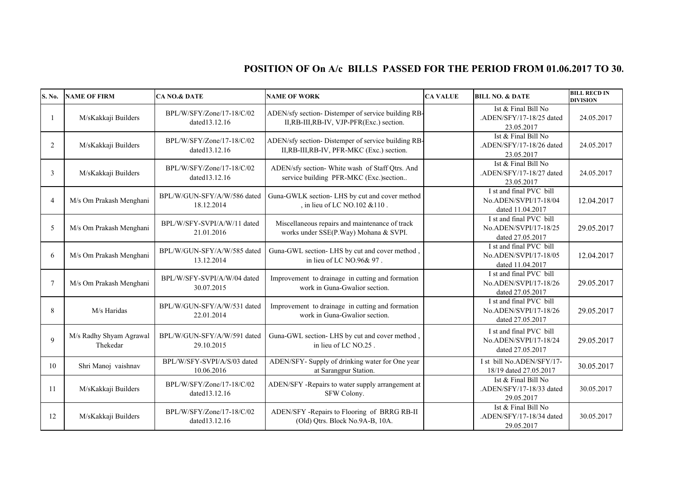## **POSITION OF On A/c BILLS PASSED FOR THE PERIOD FROM 01.06.2017 TO 30.**

| S. No.         | <b>NAME OF FIRM</b>                 | <b>CA NO.&amp; DATE</b>                    | <b>NAME OF WORK</b>                                                                             | <b>CA VALUE</b> | <b>BILL NO. &amp; DATE</b>                                           | <b>BILL RECD IN</b><br><b>DIVISION</b> |
|----------------|-------------------------------------|--------------------------------------------|-------------------------------------------------------------------------------------------------|-----------------|----------------------------------------------------------------------|----------------------------------------|
|                | M/sKakkaji Builders                 | BPL/W/SFY/Zone/17-18/C/02<br>dated13.12.16 | ADEN/sfy section- Distemper of service building RB-<br>II,RB-III,RB-IV, VJP-PFR(Exc.) section.  |                 | Ist & Final Bill No<br>.ADEN/SFY/17-18/25 dated<br>23.05.2017        | 24.05.2017                             |
| 2              | M/sKakkaji Builders                 | BPL/W/SFY/Zone/17-18/C/02<br>dated13.12.16 | ADEN/sfy section- Distemper of service building RB-<br>II,RB-III,RB-IV, PFR-MKC (Exc.) section. |                 | Ist & Final Bill No<br>.ADEN/SFY/17-18/26 dated<br>23.05.2017        | 24.05.2017                             |
| 3              | M/sKakkaji Builders                 | BPL/W/SFY/Zone/17-18/C/02<br>dated13.12.16 | ADEN/sfy section- White wash of Staff Qtrs. And<br>service building PFR-MKC (Exc.)section       |                 | Ist & Final Bill No<br>.ADEN/SFY/17-18/27 dated<br>23.05.2017        | 24.05.2017                             |
| $\overline{4}$ | M/s Om Prakash Menghani             | BPL/W/GUN-SFY/A/W/586 dated<br>18.12.2014  | Guna-GWLK section- LHS by cut and cover method<br>, in lieu of LC NO.102 & 110.                 |                 | I st and final PVC bill<br>No.ADEN/SVPI/17-18/04<br>dated 11.04.2017 | 12.04.2017                             |
| 5              | M/s Om Prakash Menghani             | BPL/W/SFY-SVPI/A/W/11 dated<br>21.01.2016  | Miscellaneous repairs and maintenance of track<br>works under SSE(P.Way) Mohana & SVPI.         |                 | I st and final PVC bill<br>No.ADEN/SVPI/17-18/25<br>dated 27.05.2017 | 29.05.2017                             |
| 6              | M/s Om Prakash Menghani             | BPL/W/GUN-SFY/A/W/585 dated<br>13.12.2014  | Guna-GWL section- LHS by cut and cover method<br>in lieu of LC NO.96& 97.                       |                 | I st and final PVC bill<br>No.ADEN/SVPI/17-18/05<br>dated 11.04.2017 | 12.04.2017                             |
| 7              | M/s Om Prakash Menghani             | BPL/W/SFY-SVPI/A/W/04 dated<br>30.07.2015  | Improvement to drainage in cutting and formation<br>work in Guna-Gwalior section.               |                 | I st and final PVC bill<br>No.ADEN/SVPI/17-18/26<br>dated 27.05.2017 | 29.05.2017                             |
| 8              | M/s Haridas                         | BPL/W/GUN-SFY/A/W/531 dated<br>22.01.2014  | Improvement to drainage in cutting and formation<br>work in Guna-Gwalior section.               |                 | I st and final PVC bill<br>No.ADEN/SVPI/17-18/26<br>dated 27.05.2017 | 29.05.2017                             |
| $\mathbf{Q}$   | M/s Radhy Shyam Agrawal<br>Thekedar | BPL/W/GUN-SFY/A/W/591 dated<br>29.10.2015  | Guna-GWL section- LHS by cut and cover method,<br>in lieu of LC NO.25.                          |                 | I st and final PVC bill<br>No.ADEN/SVPI/17-18/24<br>dated 27.05.2017 | 29.05.2017                             |
| 10             | Shri Manoj vaishnav                 | BPL/W/SFY-SVPI/A/S/03 dated<br>10.06.2016  | ADEN/SFY- Supply of drinking water for One year<br>at Sarangpur Station.                        |                 | I st bill No.ADEN/SFY/17-<br>18/19 dated 27.05.2017                  | 30.05.2017                             |
| 11             | M/sKakkaji Builders                 | BPL/W/SFY/Zone/17-18/C/02<br>dated13.12.16 | ADEN/SFY -Repairs to water supply arrangement at<br>SFW Colony.                                 |                 | Ist & Final Bill No<br>.ADEN/SFY/17-18/33 dated<br>29.05.2017        | 30.05.2017                             |
| 12             | M/sKakkaji Builders                 | BPL/W/SFY/Zone/17-18/C/02<br>dated13.12.16 | ADEN/SFY -Repairs to Flooring of BRRG RB-II<br>(Old) Qtrs. Block No.9A-B, 10A.                  |                 | Ist & Final Bill No<br>.ADEN/SFY/17-18/34 dated<br>29.05.2017        | 30.05.2017                             |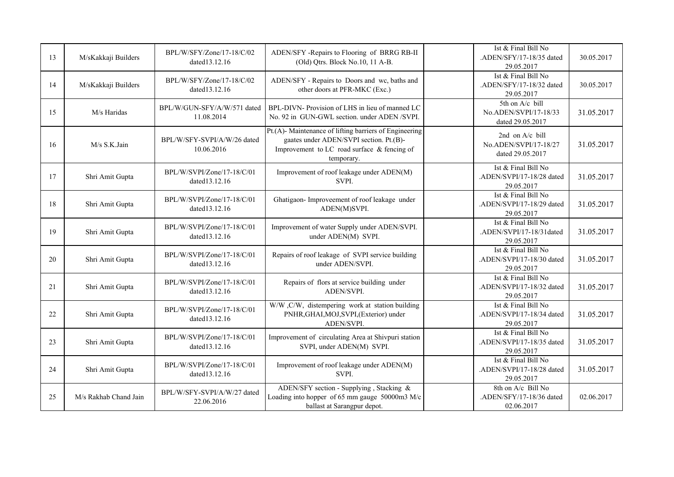| 13 | M/sKakkaji Builders   | BPL/W/SFY/Zone/17-18/C/02<br>dated13.12.16  | ADEN/SFY -Repairs to Flooring of BRRG RB-II<br>(Old) Qtrs. Block No.10, 11 A-B.                                                                                |                       | Ist & Final Bill No<br>.ADEN/SFY/17-18/35 dated<br>29.05.2017  | 30.05.2017 |
|----|-----------------------|---------------------------------------------|----------------------------------------------------------------------------------------------------------------------------------------------------------------|-----------------------|----------------------------------------------------------------|------------|
| 14 | M/sKakkaji Builders   | BPL/W/SFY/Zone/17-18/C/02<br>dated13.12.16  | ADEN/SFY - Repairs to Doors and wc, baths and<br>other doors at PFR-MKC (Exc.)                                                                                 |                       | Ist & Final Bill No<br>.ADEN/SFY/17-18/32 dated<br>29.05.2017  | 30.05.2017 |
| 15 | M/s Haridas           | BPL/W/GUN-SFY/A/W/571 dated<br>11.08.2014   | BPL-DIVN-Provision of LHS in lieu of manned LC<br>No. 92 in GUN-GWL section. under ADEN /SVPI.                                                                 | No.ADEN/SVPI/17-18/33 |                                                                | 31.05.2017 |
| 16 | M/s S.K.Jain          | BPL/W/SFY-SVPI/A/W/26 dated<br>10.06.2016   | Pt.(A)- Maintenance of lifting barriers of Engineering<br>gaates under ADEN/SVPI section. Pt.(B)-<br>Improvement to LC road surface & fencing of<br>temporary. |                       | 2nd on A/c bill<br>No.ADEN/SVPI/17-18/27<br>dated 29.05.2017   | 31.05.2017 |
| 17 | Shri Amit Gupta       | BPL/W/SVPI/Zone/17-18/C/01<br>dated13.12.16 | Improvement of roof leakage under ADEN(M)<br>SVPI.                                                                                                             |                       | Ist & Final Bill No<br>.ADEN/SVPI/17-18/28 dated<br>29.05.2017 | 31.05.2017 |
| 18 | Shri Amit Gupta       | BPL/W/SVPI/Zone/17-18/C/01<br>dated13.12.16 | Ghatigaon- Improveement of roof leakage under<br>ADEN(M)SVPI.                                                                                                  |                       | Ist & Final Bill No<br>.ADEN/SVPI/17-18/29 dated<br>29.05.2017 | 31.05.2017 |
| 19 | Shri Amit Gupta       | BPL/W/SVPI/Zone/17-18/C/01<br>dated13.12.16 | Improvement of water Supply under ADEN/SVPI.<br>under ADEN(M) SVPI.                                                                                            |                       | Ist & Final Bill No<br>.ADEN/SVPI/17-18/31dated<br>29.05.2017  | 31.05.2017 |
| 20 | Shri Amit Gupta       | BPL/W/SVPI/Zone/17-18/C/01<br>dated13.12.16 | Repairs of roof leakage of SVPI service building<br>under ADEN/SVPI.                                                                                           |                       | Ist & Final Bill No<br>.ADEN/SVPI/17-18/30 dated<br>29.05.2017 | 31.05.2017 |
| 21 | Shri Amit Gupta       | BPL/W/SVPI/Zone/17-18/C/01<br>dated13.12.16 | Repairs of flors at service building under<br>ADEN/SVPI.                                                                                                       |                       | Ist & Final Bill No<br>.ADEN/SVPI/17-18/32 dated<br>29.05.2017 | 31.05.2017 |
| 22 | Shri Amit Gupta       | BPL/W/SVPI/Zone/17-18/C/01<br>dated13.12.16 | W/W , C/W, distempering work at station building<br>PNHR, GHAI, MOJ, SVPI, (Exterior) under<br>ADEN/SVPI.                                                      |                       | Ist & Final Bill No<br>.ADEN/SVPI/17-18/34 dated<br>29.05.2017 | 31.05.2017 |
| 23 | Shri Amit Gupta       | BPL/W/SVPI/Zone/17-18/C/01<br>dated13.12.16 | Improvement of circulating Area at Shivpuri station<br>SVPI, under ADEN(M) SVPI.                                                                               |                       | Ist & Final Bill No<br>.ADEN/SVPI/17-18/35 dated<br>29.05.2017 | 31.05.2017 |
| 24 | Shri Amit Gupta       | BPL/W/SVPI/Zone/17-18/C/01<br>dated13.12.16 | Improvement of roof leakage under ADEN(M)<br>SVPI.                                                                                                             |                       | Ist & Final Bill No<br>.ADEN/SVPI/17-18/28 dated<br>29.05.2017 | 31.05.2017 |
| 25 | M/s Rakhab Chand Jain | BPL/W/SFY-SVPI/A/W/27 dated<br>22.06.2016   | ADEN/SFY section - Supplying, Stacking &<br>Loading into hopper of 65 mm gauge 50000m3 M/c<br>ballast at Sarangpur depot.                                      |                       | 8th on A/c Bill No<br>.ADEN/SFY/17-18/36 dated<br>02.06.2017   | 02.06.2017 |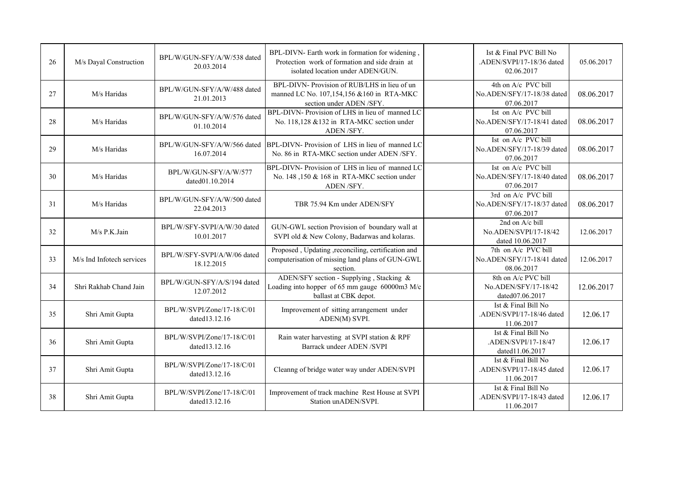| 26 | M/s Dayal Construction    | BPL/W/GUN-SFY/A/W/538 dated<br>20.03.2014                                                                                                                          | BPL-DIVN- Earth work in formation for widening,<br>Protection work of formation and side drain at<br>isolated location under ADEN/GUN. |                                                                 | Ist & Final PVC Bill No<br>.ADEN/SVPI/17-18/36 dated<br>02.06.2017 | 05.06.2017 |
|----|---------------------------|--------------------------------------------------------------------------------------------------------------------------------------------------------------------|----------------------------------------------------------------------------------------------------------------------------------------|-----------------------------------------------------------------|--------------------------------------------------------------------|------------|
| 27 | M/s Haridas               | BPL-DIVN- Provision of RUB/LHS in lieu of un<br>BPL/W/GUN-SFY/A/W/488 dated<br>manned LC No. 107,154,156 & 160 in RTA-MKC<br>21.01.2013<br>section under ADEN/SFY. |                                                                                                                                        | 4th on A/c PVC bill<br>No.ADEN/SFY/17-18/38 dated<br>07.06.2017 | 08.06.2017                                                         |            |
| 28 | M/s Haridas               | BPL/W/GUN-SFY/A/W/576 dated<br>01.10.2014                                                                                                                          | BPL-DIVN- Provision of LHS in lieu of manned LC<br>No. 118,128 & 132 in RTA-MKC section under<br>ADEN/SFY.                             |                                                                 | Ist on A/c PVC bill<br>No.ADEN/SFY/17-18/41 dated<br>07.06.2017    | 08.06.2017 |
| 29 | M/s Haridas               | BPL/W/GUN-SFY/A/W/566 dated<br>16.07.2014                                                                                                                          | BPL-DIVN- Provision of LHS in lieu of manned LC<br>No. 86 in RTA-MKC section under ADEN/SFY.                                           |                                                                 | Ist on A/c PVC bill<br>No.ADEN/SFY/17-18/39 dated<br>07.06.2017    | 08.06.2017 |
| 30 | M/s Haridas               | BPL/W/GUN-SFY/A/W/577<br>dated01.10.2014                                                                                                                           | BPL-DIVN-Provision of LHS in lieu of manned LC<br>No. 148, 150 & 168 in RTA-MKC section under<br>ADEN/SFY.                             | No.ADEN/SFY/17-18/40 dated                                      |                                                                    | 08.06.2017 |
| 31 | M/s Haridas               | BPL/W/GUN-SFY/A/W/500 dated<br>22.04.2013                                                                                                                          | TBR 75.94 Km under ADEN/SFY                                                                                                            |                                                                 | 3rd on A/c PVC bill<br>No.ADEN/SFY/17-18/37 dated<br>07.06.2017    | 08.06.2017 |
| 32 | M/s P.K.Jain              | BPL/W/SFY-SVPI/A/W/30 dated<br>10.01.2017                                                                                                                          | GUN-GWL section Provision of boundary wall at<br>SVPI old & New Colony, Badarwas and kolaras.                                          |                                                                 | 2nd on A/c bill<br>No.ADEN/SVPI/17-18/42<br>dated 10.06.2017       | 12.06.2017 |
| 33 | M/s Ind Infotech services | BPL/W/SFY-SVPI/A/W/06 dated<br>18.12.2015                                                                                                                          | Proposed, Updating, reconciling, certification and<br>computerisation of missing land plans of GUN-GWL<br>section.                     |                                                                 | 7th on A/c PVC bill<br>No.ADEN/SFY/17-18/41 dated<br>08.06.2017    | 12.06.2017 |
| 34 | Shri Rakhab Chand Jain    | BPL/W/GUN-SFY/A/S/194 dated<br>12.07.2012                                                                                                                          | ADEN/SFY section - Supplying, Stacking &<br>Loading into hopper of 65 mm gauge 60000m3 M/c<br>ballast at CBK depot.                    |                                                                 | 8th on A/c PVC bill<br>No.ADEN/SFY/17-18/42<br>dated07.06.2017     | 12.06.2017 |
| 35 | Shri Amit Gupta           | BPL/W/SVPI/Zone/17-18/C/01<br>dated13.12.16                                                                                                                        | Improvement of sitting arrangement under<br>ADEN(M) SVPI.                                                                              |                                                                 | Ist & Final Bill No<br>.ADEN/SVPI/17-18/46 dated<br>11.06.2017     | 12.06.17   |
| 36 | Shri Amit Gupta           | BPL/W/SVPI/Zone/17-18/C/01<br>dated13.12.16                                                                                                                        | Rain water harvesting at SVPI station & RPF<br>Barrack undeer ADEN /SVPI                                                               |                                                                 | Ist & Final Bill No<br>.ADEN/SVPI/17-18/47<br>dated11.06.2017      | 12.06.17   |
| 37 | Shri Amit Gupta           | BPL/W/SVPI/Zone/17-18/C/01<br>dated13.12.16                                                                                                                        | Cleanng of bridge water way under ADEN/SVPI                                                                                            |                                                                 | Ist & Final Bill No<br>.ADEN/SVPI/17-18/45 dated<br>11.06.2017     | 12.06.17   |
| 38 | Shri Amit Gupta           | BPL/W/SVPI/Zone/17-18/C/01<br>dated13.12.16                                                                                                                        | Improvement of track machine Rest House at SVPI<br>Station unADEN/SVPI.                                                                |                                                                 | Ist & Final Bill No<br>.ADEN/SVPI/17-18/43 dated<br>11.06.2017     | 12.06.17   |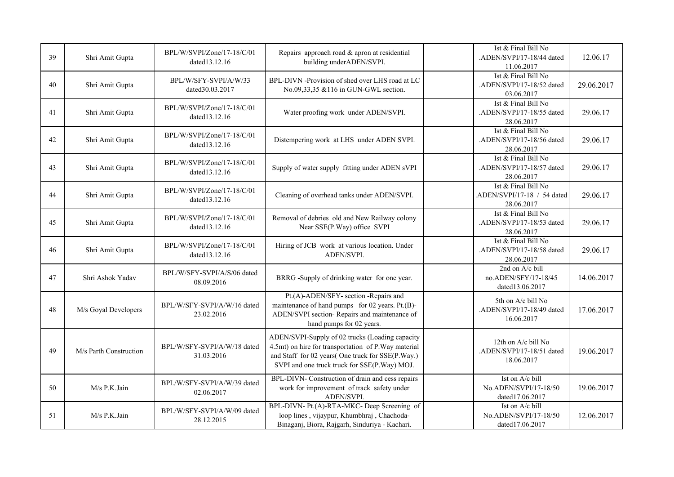| 39 | Shri Amit Gupta        | BPL/W/SVPI/Zone/17-18/C/01<br>dated13.12.16 | Repairs approach road & apron at residential<br>building under ADEN/SVPI.                                                                                                                                   | Ist & Final Bill No<br>.ADEN/SVPI/17-18/44 dated<br>11.06.2017  | 12.06.17   |
|----|------------------------|---------------------------------------------|-------------------------------------------------------------------------------------------------------------------------------------------------------------------------------------------------------------|-----------------------------------------------------------------|------------|
| 40 | Shri Amit Gupta        | BPL/W/SFY-SVPI/A/W/33<br>dated30.03.2017    | BPL-DIVN -Provision of shed over LHS road at LC<br>No.09,33,35 &116 in GUN-GWL section.                                                                                                                     | Ist & Final Bill No<br>.ADEN/SVPI/17-18/52 dated<br>03.06.2017  | 29.06.2017 |
| 41 | Shri Amit Gupta        | BPL/W/SVPI/Zone/17-18/C/01<br>dated13.12.16 | Water proofing work under ADEN/SVPI.                                                                                                                                                                        | Ist & Final Bill No<br>.ADEN/SVPI/17-18/55 dated<br>28.06.2017  | 29.06.17   |
| 42 | Shri Amit Gupta        | BPL/W/SVPI/Zone/17-18/C/01<br>dated13.12.16 | Distempering work at LHS under ADEN SVPI.                                                                                                                                                                   | Ist & Final Bill No<br>.ADEN/SVPI/17-18/56 dated<br>28.06.2017  | 29.06.17   |
| 43 | Shri Amit Gupta        | BPL/W/SVPI/Zone/17-18/C/01<br>dated13.12.16 | Supply of water supply fitting under ADEN sVPI                                                                                                                                                              | Ist & Final Bill No<br>.ADEN/SVPI/17-18/57 dated<br>28.06.2017  | 29.06.17   |
| 44 | Shri Amit Gupta        | BPL/W/SVPI/Zone/17-18/C/01<br>dated13.12.16 | Cleaning of overhead tanks under ADEN/SVPI.                                                                                                                                                                 | Ist & Final Bill No<br>ADEN/SVPI/17-18 / 54 dated<br>28.06.2017 | 29.06.17   |
| 45 | Shri Amit Gupta        | BPL/W/SVPI/Zone/17-18/C/01<br>dated13.12.16 | Removal of debries old and New Railway colony<br>Near SSE(P.Way) office SVPI                                                                                                                                | Ist & Final Bill No<br>.ADEN/SVPI/17-18/53 dated<br>28.06.2017  | 29.06.17   |
| 46 | Shri Amit Gupta        | BPL/W/SVPI/Zone/17-18/C/01<br>dated13.12.16 | Hiring of JCB work at various location. Under<br>ADEN/SVPI.                                                                                                                                                 | Ist & Final Bill No<br>.ADEN/SVPI/17-18/58 dated<br>28.06.2017  | 29.06.17   |
| 47 | Shri Ashok Yadav       | BPL/W/SFY-SVPI/A/S/06 dated<br>08.09.2016   | BRRG -Supply of drinking water for one year.                                                                                                                                                                | 2nd on A/c bill<br>no.ADEN/SFY/17-18/45<br>dated13.06.2017      | 14.06.2017 |
| 48 | M/s Goyal Developers   | BPL/W/SFY-SVPI/A/W/16 dated<br>23.02.2016   | Pt.(A)-ADEN/SFY- section -Repairs and<br>maintenance of hand pumps for 02 years. Pt.(B)-<br>ADEN/SVPI section-Repairs and maintenance of<br>hand pumps for 02 years.                                        | 5th on A/c bill No<br>.ADEN/SVPI/17-18/49 dated<br>16.06.2017   | 17.06.2017 |
| 49 | M/s Parth Construction | BPL/W/SFY-SVPI/A/W/18 dated<br>31.03.2016   | ADEN/SVPI-Supply of 02 trucks (Loading capacity<br>4.5mt) on hire for transportation of P. Way material<br>and Staff for 02 years(One truck for SSE(P.Way.)<br>SVPI and one truck truck for SSE(P.Way) MOJ. | 12th on A/c bill No<br>.ADEN/SVPI/17-18/51 dated<br>18.06.2017  | 19.06.2017 |
| 50 | M/s P.K.Jain           | BPL/W/SFY-SVPI/A/W/39 dated<br>02.06.2017   | BPL-DIVN- Construction of drain and cess repairs<br>work for improvement of track safety under<br>ADEN/SVPI.                                                                                                | Ist on A/c bill<br>No.ADEN/SVPI/17-18/50<br>dated17.06.2017     | 19.06.2017 |
| 51 | M/s P.K.Jain           | BPL/W/SFY-SVPI/A/W/09 dated<br>28.12.2015   | BPL-DIVN- Pt.(A)-RTA-MKC- Deep Screening of<br>loop lines, vijaypur, Khumbhraj, Chachoda-<br>Binaganj, Biora, Rajgarh, Sinduriya - Kachari.                                                                 | Ist on A/c bill<br>No.ADEN/SVPI/17-18/50<br>dated17.06.2017     | 12.06.2017 |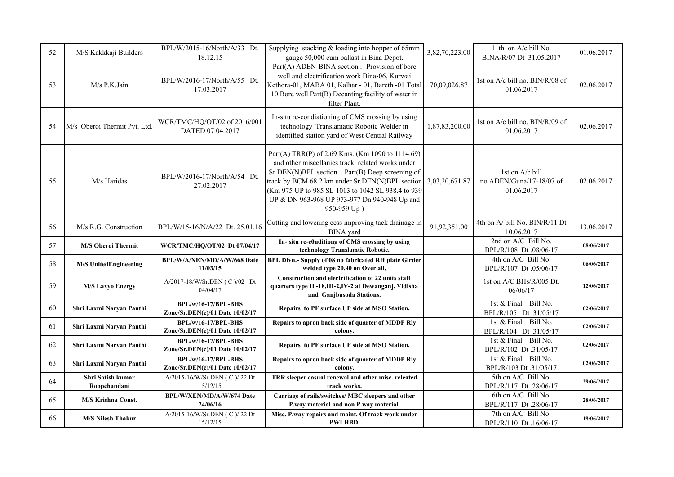| 52 | M/S Kakkkaji Builders             | BPL/W/2015-16/North/A/33 Dt.<br>18.12.15                 | Supplying stacking $&$ loading into hopper of 65mm<br>gauge 50,000 cum ballast in Bina Depot.                                                                                                                                                                                                                                                    | 3,82,70,223.00 | 11th on A/c bill No.<br>BINA/R/07 Dt 31.05.2017           | 01.06.2017 |
|----|-----------------------------------|----------------------------------------------------------|--------------------------------------------------------------------------------------------------------------------------------------------------------------------------------------------------------------------------------------------------------------------------------------------------------------------------------------------------|----------------|-----------------------------------------------------------|------------|
| 53 | M/s P.K.Jain                      | BPL/W/2016-17/North/A/55 Dt.<br>17.03.2017               | Part(A) ADEN-BINA section :- Provision of bore<br>well and electrification work Bina-06, Kurwai<br>Kethora-01, MABA 01, Kalhar - 01, Bareth -01 Total<br>10 Bore well Part(B) Decanting facility of water in<br>filter Plant.                                                                                                                    | 70,09,026.87   | 1st on A/c bill no. BIN/R/08 of<br>01.06.2017             | 02.06.2017 |
| 54 | M/s Oberoi Thermit Pvt. Ltd.      | WCR/TMC/HQ/OT/02 of 2016/001<br>DATED 07.04.2017         | In-situ re-condiationing of CMS crossing by using<br>technology 'Translamatic Robotic Welder in<br>identified station yard of West Central Railway                                                                                                                                                                                               | 1,87,83,200.00 |                                                           | 02.06.2017 |
| 55 | M/s Haridas                       | BPL/W/2016-17/North/A/54 Dt.<br>27.02.2017               | Part(A) TRR(P) of 2.69 Kms. (Km 1090 to 1114.69)<br>and other miscellanies track related works under<br>Sr.DEN(N)BPL section. Part(B) Deep screening of<br>track by BCM 68.2 km under Sr.DEN(N)BPL section<br>3,03,20,671.87<br>(Km 975 UP to 985 SL 1013 to 1042 SL 938.4 to 939<br>UP & DN 963-968 UP 973-977 Dn 940-948 Up and<br>950-959 Up) |                | 1st on A/c bill<br>no.ADEN/Guna/17-18/07 of<br>01.06.2017 | 02.06.2017 |
| 56 | M/s R.G. Construction             | BPL/W/15-16/N/A/22 Dt. 25.01.16                          | Cutting and lowering cess improving tack drainage in<br><b>BINA</b> yard                                                                                                                                                                                                                                                                         | 91,92,351.00   | 4th on A/ bill No. BIN/R/11 Dt<br>10.06.2017              | 13.06.2017 |
| 57 | <b>M/S Oberoi Thermit</b>         | WCR/TMC/HQ/OT/02 Dt 07/04/17                             | In- situ re-c0nditiong of CMS crossing by using<br>technology Translamtic Robotic.                                                                                                                                                                                                                                                               |                | 2nd on A/C Bill No.<br>BPL/R/108 Dt .08/06/17             | 08/06/2017 |
| 58 | <b>M/S UnitedEngineering</b>      | BPL/W/A/XEN/MD/A/W/668 Date<br>11/03/15                  | BPL Divn.- Supply of 08 no fabricated RH plate Girder<br>welded type 20.40 on Over all,                                                                                                                                                                                                                                                          |                | 4th on A/C Bill No.<br>BPL/R/107 Dt .05/06/17             | 06/06/2017 |
| 59 | <b>M/S Laxyo Energy</b>           | A/2017-18/W/Sr.DEN (C)/02 Dt<br>04/04/17                 | Construction and electrification of 22 units staff<br>quarters type II -18, III-2, IV-2 at Dewanganj, Vidisha<br>and Ganjbasoda Stations.                                                                                                                                                                                                        |                | 1st on A/C BHs/R/005 Dt.<br>06/06/17                      | 12/06/2017 |
| 60 | Shri Laxmi Naryan Panthi          | BPL/w/16-17/BPL-BHS<br>Zone/Sr.DEN(c)/01 Date 10/02/17   | Repairs to PF surface UP side at MSO Station.                                                                                                                                                                                                                                                                                                    |                | 1st & Final Bill No.<br>BPL/R/105 Dt.31/05/17             | 02/06/2017 |
| 61 | Shri Laxmi Naryan Panthi          | BPL/w/16-17/BPL-BHS<br>Zone/Sr.DEN(c)/01 Date $10/02/17$ | Repairs to apron back side of quarter of MDDP Rly<br>colony.                                                                                                                                                                                                                                                                                     |                | 1st & Final Bill No.<br>BPL/R/104 Dt.31/05/17             | 02/06/2017 |
| 62 | Shri Laxmi Naryan Panthi          | BPL/w/16-17/BPL-BHS<br>Zone/Sr.DEN(c)/01 Date 10/02/17   | Repairs to PF surface UP side at MSO Station.                                                                                                                                                                                                                                                                                                    |                | 1st & Final Bill No.<br>BPL/R/102 Dt.31/05/17             | 02/06/2017 |
| 63 | Shri Laxmi Naryan Panthi          | BPL/w/16-17/BPL-BHS<br>Zone/Sr.DEN(c)/01 Date 10/02/17   | Repairs to apron back side of quarter of MDDP Rly<br>colony.                                                                                                                                                                                                                                                                                     |                | 1st & Final Bill No.<br>BPL/R/103 Dt.31/05/17             | 02/06/2017 |
| 64 | Shri Satish kumar<br>Roopchandani | A/2015-16/W/Sr.DEN (C)/22 Dt<br>15/12/15                 | TRR sleeper casual renewal and other misc. releated<br>track works.                                                                                                                                                                                                                                                                              |                | 5th on A/C Bill No.<br>BPL/R/117 Dt.28/06/17              | 29/06/2017 |
| 65 | <b>M/S Krishna Const.</b>         | BPL/W/XEN/MD/A/W/674 Date<br>24/06/16                    | Carriage of rails/switches/ MBC sleepers and other<br>P.way material and non P.way material.                                                                                                                                                                                                                                                     |                | 6th on A/C Bill No.<br>BPL/R/117 Dt.28/06/17              | 28/06/2017 |
| 66 | <b>M/S Nilesh Thakur</b>          | A/2015-16/W/Sr.DEN ( C )/ 22 Dt<br>15/12/15              | Misc. P.way repairs and maint. Of track work under<br><b>PWI HBD.</b>                                                                                                                                                                                                                                                                            |                | 7th on A/C Bill No.<br>BPL/R/110 Dt.16/06/17              | 19/06/2017 |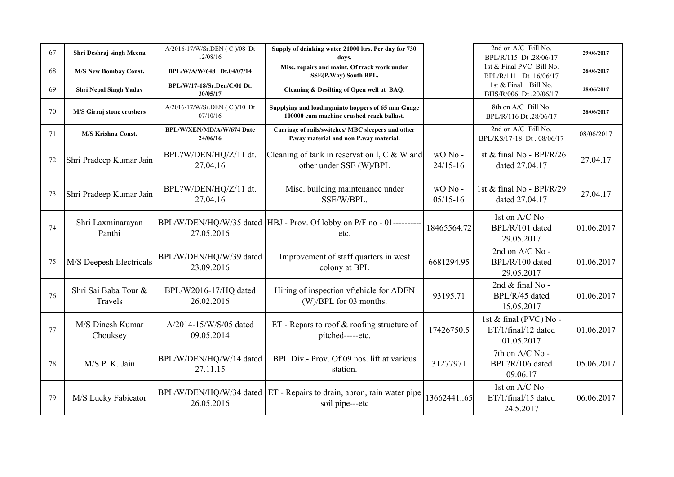| 67 | Shri Deshraj singh Meena        | A/2016-17/W/Sr.DEN ( C )/08 Dt<br>12/08/16 | Supply of drinking water 21000 ltrs. Per day for 730<br>days.                                  |                        | 2nd on A/C Bill No.<br>BPL/R/115 Dt.28/06/17                | 29/06/2017 |
|----|---------------------------------|--------------------------------------------|------------------------------------------------------------------------------------------------|------------------------|-------------------------------------------------------------|------------|
| 68 | <b>M/S New Bombay Const.</b>    | BPL/W/A/W/648 Dt.04/07/14                  | Misc. repairs and maint. Of track work under<br>SSE(P.Way) South BPL.                          |                        | 1st & Final PVC Bill No.<br>BPL/R/111 Dt.16/06/17           | 28/06/2017 |
| 69 | <b>Shri Nepal Singh Yadav</b>   | BPL/W/17-18/Sr.Den/C/01 Dt.<br>30/05/17    | Cleaning & Desilting of Open well at BAQ.                                                      |                        | 1st & Final Bill No.<br>BHS/R/006 Dt.20/06/17               | 28/06/2017 |
| 70 | M/S Girraj stone crushers       | A/2016-17/W/Sr.DEN (C)/10 Dt<br>07/10/16   | Supplying and loadingminto hoppers of 65 mm Guage<br>100000 cum machine crushed reack ballast. |                        | 8th on A/C Bill No.<br>BPL/R/116 Dt.28/06/17                | 28/06/2017 |
| 71 | <b>M/S Krishna Const.</b>       | BPL/W/XEN/MD/A/W/674 Date<br>24/06/16      | Carriage of rails/switches/ MBC sleepers and other<br>P.way material and non P.way material.   |                        | 2nd on A/C Bill No.<br>BPL/KS/17-18 Dt. 08/06/17            | 08/06/2017 |
| 72 | Shri Pradeep Kumar Jain         | BPL?W/DEN/HQ/Z/11 dt.<br>27.04.16          | Cleaning of tank in reservation 1, $C & W$ and<br>other under SSE (W)/BPL                      | wO No-<br>$24/15 - 16$ | 1st & final No - BPl/R/26<br>dated 27.04.17                 | 27.04.17   |
| 73 | Shri Pradeep Kumar Jain         | BPL?W/DEN/HQ/Z/11 dt.<br>27.04.16          | Misc. building maintenance under<br>SSE/W/BPL.                                                 | wO No-<br>$05/15 - 16$ | 1st & final No - BPl/R/29<br>dated 27.04.17                 | 27.04.17   |
| 74 | Shri Laxminarayan<br>Panthi     | 27.05.2016                                 | BPL/W/DEN/HQ/W/35 dated   HBJ - Prov. Of lobby on P/F no - 01---------<br>etc.                 | 18465564.72            | 1st on $A/C$ No -<br>BPL/R/101 dated<br>29.05.2017          | 01.06.2017 |
| 75 | M/S Deepesh Electricals         | BPL/W/DEN/HQ/W/39 dated<br>23.09.2016      | Improvement of staff quarters in west<br>colony at BPL                                         | 6681294.95             | 2nd on A/C No -<br>BPL/R/100 dated<br>29.05.2017            | 01.06.2017 |
| 76 | Shri Sai Baba Tour &<br>Travels | BPL/W2016-17/HQ dated<br>26.02.2016        | Hiring of inspection vf\ehicle for ADEN<br>(W)/BPL for 03 months.                              | 93195.71               | 2nd & final No -<br>BPL/R/45 dated<br>15.05.2017            | 01.06.2017 |
| 77 | M/S Dinesh Kumar<br>Chouksey    | A/2014-15/W/S/05 dated<br>09.05.2014       | ET - Repars to roof $&$ roofing structure of<br>pitched-----etc.                               | 17426750.5             | 1st & final (PVC) No -<br>ET/1/final/12 dated<br>01.05.2017 | 01.06.2017 |
| 78 | M/S P. K. Jain                  | BPL/W/DEN/HQ/W/14 dated<br>27.11.15        | BPL Div.- Prov. Of 09 nos. lift at various<br>station.                                         | 31277971               | 7th on A/C No -<br>BPL?R/106 dated<br>09.06.17              | 05.06.2017 |
| 79 | M/S Lucky Fabicator             | 26.05.2016                                 | BPL/W/DEN/HQ/W/34 dated ET - Repairs to drain, apron, rain water pipe<br>soil pipe---etc       | 1366244165             | 1st on A/C No -<br>ET/1/final/15 dated<br>24.5.2017         | 06.06.2017 |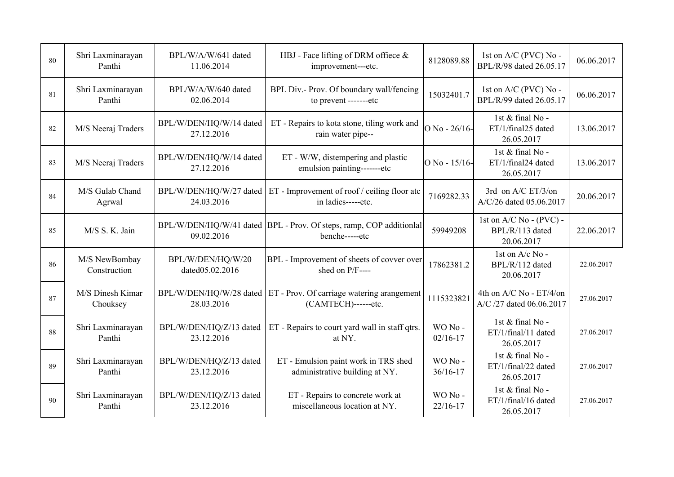| 80 | Shri Laxminarayan<br>Panthi   | BPL/W/A/W/641 dated<br>11.06.2014     | HBJ - Face lifting of DRM offiece $\&$<br>8128089.88<br>improvement---etc.                               |                        | 1st on A/C (PVC) No -<br>BPL/R/98 dated 26.05.17             | 06.06.2017 |
|----|-------------------------------|---------------------------------------|----------------------------------------------------------------------------------------------------------|------------------------|--------------------------------------------------------------|------------|
| 81 | Shri Laxminarayan<br>Panthi   | BPL/W/A/W/640 dated<br>02.06.2014     | BPL Div.- Prov. Of boundary wall/fencing<br>to prevent -------etc                                        | 15032401.7             | 1st on A/C (PVC) No -<br>BPL/R/99 dated 26.05.17             | 06.06.2017 |
| 82 | M/S Neeraj Traders            | BPL/W/DEN/HQ/W/14 dated<br>27.12.2016 | ET - Repairs to kota stone, tiling work and<br>rain water pipe--                                         | $O$ No - 26/16-        | 1st & final No -<br>ET/1/final25 dated<br>26.05.2017         | 13.06.2017 |
| 83 | M/S Neeraj Traders            | BPL/W/DEN/HQ/W/14 dated<br>27.12.2016 | ET - W/W, distempering and plastic<br>emulsion painting-------etc                                        | O No - 15/16-          | 1st & final No -<br>ET/1/final24 dated<br>26.05.2017         | 13.06.2017 |
| 84 | M/S Gulab Chand<br>Agrwal     | 24.03.2016                            | BPL/W/DEN/HQ/W/27 dated ET - Improvement of roof / ceiling floor atc<br>7169282.33<br>in ladies-----etc. |                        | 3rd on A/C ET/3/on<br>A/C/26 dated 05.06.2017                | 20.06.2017 |
| 85 | M/S S. K. Jain                | 09.02.2016                            | BPL/W/DEN/HQ/W/41 dated BPL - Prov. Of steps, ramp, COP additional<br>59949208<br>benche-----etc         |                        | 1st on $A/C$ No - $(PVC)$ -<br>BPL/R/113 dated<br>20.06.2017 | 22.06.2017 |
| 86 | M/S NewBombay<br>Construction | BPL/W/DEN/HQ/W/20<br>dated05.02.2016  | BPL - Improvement of sheets of covver over<br>shed on P/F----                                            | 17862381.2             | 1st on A/c No -<br>BPL/R/112 dated<br>20.06.2017             | 22.06.2017 |
| 87 | M/S Dinesh Kimar<br>Chouksey  | 28.03.2016                            | $BPL/W/DEN/HQ/W/28$ dated $ET$ - Prov. Of carriage watering arangement<br>(CAMTECH)------etc.            | 1115323821             | 4th on A/C No - ET/4/on<br>A/C /27 dated 06.06.2017          | 27.06.2017 |
| 88 | Shri Laxminarayan<br>Panthi   | BPL/W/DEN/HQ/Z/13 dated<br>23.12.2016 | ET - Repairs to court yard wall in staff qtrs.<br>at NY.                                                 | WO No-<br>$02/16 - 17$ | 1st & final No -<br>ET/1/final/11 dated<br>26.05.2017        | 27.06.2017 |
| 89 | Shri Laxminarayan<br>Panthi   | BPL/W/DEN/HQ/Z/13 dated<br>23.12.2016 | ET - Emulsion paint work in TRS shed<br>WO No-<br>administrative building at NY.<br>$36/16 - 17$         |                        | 1st & final No -<br>ET/1/final/22 dated<br>26.05.2017        | 27.06.2017 |
| 90 | Shri Laxminarayan<br>Panthi   | BPL/W/DEN/HQ/Z/13 dated<br>23.12.2016 | ET - Repairs to concrete work at<br>miscellaneous location at NY.                                        | WO No-<br>$22/16 - 17$ | 1st & final No -<br>ET/1/final/16 dated<br>26.05.2017        | 27.06.2017 |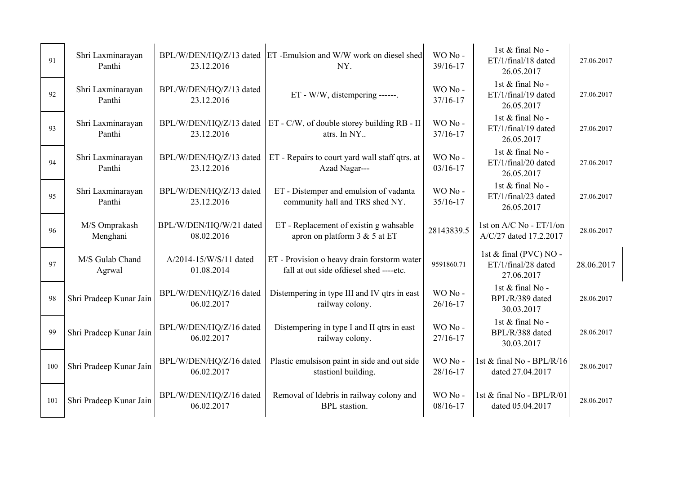| 91  | Shri Laxminarayan<br>Panthi | 23.12.2016                            | BPL/W/DEN/HQ/Z/13 dated ET-Emulsion and W/W work on diesel shed<br>NY.                 | WO No-<br>39/16-17     | 1st & final No -<br>ET/1/final/18 dated<br>26.05.2017       | 27.06.2017 |
|-----|-----------------------------|---------------------------------------|----------------------------------------------------------------------------------------|------------------------|-------------------------------------------------------------|------------|
| 92  | Shri Laxminarayan<br>Panthi | BPL/W/DEN/HQ/Z/13 dated<br>23.12.2016 | ET - W/W, distempering ------.                                                         | WO No-<br>37/16-17     | 1st & final No -<br>ET/1/final/19 dated<br>26.05.2017       | 27.06.2017 |
| 93  | Shri Laxminarayan<br>Panthi | 23.12.2016                            | BPL/W/DEN/HQ/Z/13 dated ET - C/W, of double storey building RB - II<br>atrs. In NY     | WO No-<br>37/16-17     | 1st & final No -<br>ET/1/final/19 dated<br>26.05.2017       | 27.06.2017 |
| 94  | Shri Laxminarayan<br>Panthi | BPL/W/DEN/HQ/Z/13 dated<br>23.12.2016 | ET - Repairs to court yard wall staff qtrs. at<br>Azad Nagar---                        | WO No-<br>$03/16 - 17$ | 1st & final No -<br>ET/1/final/20 dated<br>26.05.2017       | 27.06.2017 |
| 95  | Shri Laxminarayan<br>Panthi | BPL/W/DEN/HQ/Z/13 dated<br>23.12.2016 | ET - Distemper and emulsion of vadanta<br>community hall and TRS shed NY.              | WO No-<br>35/16-17     | 1st & final No -<br>ET/1/final/23 dated<br>26.05.2017       | 27.06.2017 |
| 96  | M/S Omprakash<br>Menghani   | BPL/W/DEN/HQ/W/21 dated<br>08.02.2016 | ET - Replacement of existin g wahsable<br>apron on platform 3 & 5 at ET                | 28143839.5             | 1st on A/C No - ET/1/on<br>A/C/27 dated 17.2.2017           | 28.06.2017 |
| 97  | M/S Gulab Chand<br>Agrwal   | A/2014-15/W/S/11 dated<br>01.08.2014  | ET - Provision o heavy drain forstorm water<br>fall at out side ofdiesel shed ----etc. | 9591860.71             | 1st & final (PVC) NO -<br>ET/1/final/28 dated<br>27.06.2017 | 28.06.2017 |
| 98  | Shri Pradeep Kunar Jain     | BPL/W/DEN/HQ/Z/16 dated<br>06.02.2017 | Distempering in type III and IV qtrs in east<br>railway colony.                        | WO No-<br>$26/16 - 17$ | 1st & final No -<br>BPL/R/389 dated<br>30.03.2017           | 28.06.2017 |
| 99  | Shri Pradeep Kunar Jain     | BPL/W/DEN/HQ/Z/16 dated<br>06.02.2017 | Distempering in type I and II qtrs in east<br>railway colony.                          | WO No-<br>27/16-17     | 1st & final No -<br>BPL/R/388 dated<br>30.03.2017           | 28.06.2017 |
| 100 | Shri Pradeep Kunar Jain     | BPL/W/DEN/HQ/Z/16 dated<br>06.02.2017 | Plastic emulsison paint in side and out side<br>stastionl building.                    | WO No-<br>28/16-17     | 1st & final No - BPL/R/16<br>dated 27.04.2017               | 28.06.2017 |
| 101 | Shri Pradeep Kunar Jain     | BPL/W/DEN/HQ/Z/16 dated<br>06.02.2017 | Removal of Idebris in railway colony and<br><b>BPL</b> stastion.                       | WO No-<br>$08/16 - 17$ | 1st & final No - BPL/R/01<br>dated 05.04.2017               | 28.06.2017 |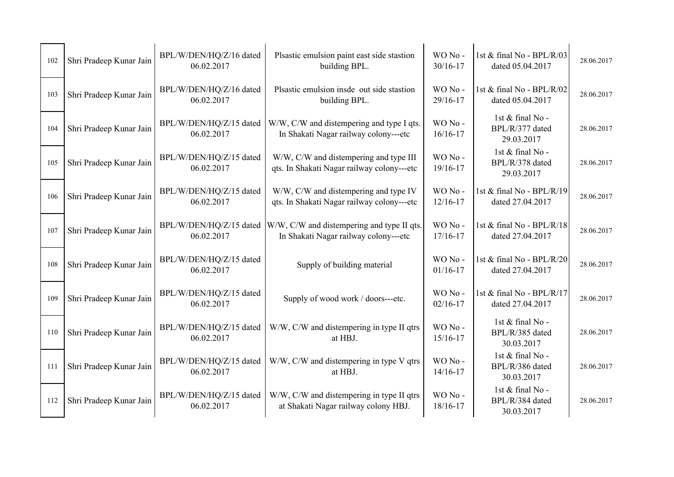| 102 | Shri Pradeep Kunar Jain | BPL/W/DEN/HQ/Z/16 dated<br>06.02.2017 | Plsastic emulsion paint east side stastion<br>building BPL.                          | WO No-<br>30/16-17     | 1st & final No - BPL/R/03<br>dated 05.04.2017     | 28.06.2017 |
|-----|-------------------------|---------------------------------------|--------------------------------------------------------------------------------------|------------------------|---------------------------------------------------|------------|
| 103 | Shri Pradeep Kunar Jain | BPL/W/DEN/HQ/Z/16 dated<br>06.02.2017 | Plsastic emulsion insde out side stastion<br>building BPL.                           | WO No-<br>29/16-17     | 1st & final No - BPL/R/02<br>dated 05.04.2017     | 28.06.2017 |
| 104 | Shri Pradeep Kunar Jain | BPL/W/DEN/HQ/Z/15 dated<br>06.02.2017 | W/W, C/W and distempering and type I qts.<br>In Shakati Nagar railway colony---etc   | WO No-<br>$16/16 - 17$ | 1st & final No -<br>BPL/R/377 dated<br>29.03.2017 | 28.06.2017 |
| 105 | Shri Pradeep Kunar Jain | BPL/W/DEN/HQ/Z/15 dated<br>06.02.2017 | W/W, C/W and distempering and type III<br>qts. In Shakati Nagar railway colony---etc | WO No-<br>19/16-17     | 1st & final No -<br>BPL/R/378 dated<br>29.03.2017 | 28.06.2017 |
| 106 | Shri Pradeep Kunar Jain | BPL/W/DEN/HQ/Z/15 dated<br>06.02.2017 | W/W, C/W and distempering and type IV<br>qts. In Shakati Nagar railway colony---etc  | WO No-<br>$12/16 - 17$ | 1st & final No - BPL/R/19<br>dated 27.04.2017     | 28.06.2017 |
| 107 | Shri Pradeep Kunar Jain | BPL/W/DEN/HQ/Z/15 dated<br>06.02.2017 | W/W, C/W and distempering and type II qts.<br>In Shakati Nagar railway colony---etc  | WO No-<br>$17/16 - 17$ | 1st & final No - BPL/R/18<br>dated 27.04.2017     | 28.06.2017 |
| 108 | Shri Pradeep Kunar Jain | BPL/W/DEN/HQ/Z/15 dated<br>06.02.2017 | Supply of building material                                                          | WO No-<br>$01/16 - 17$ | 1st & final No - BPL/R/20<br>dated 27.04.2017     | 28.06.2017 |
| 109 | Shri Pradeep Kunar Jain | BPL/W/DEN/HQ/Z/15 dated<br>06.02.2017 | Supply of wood work / doors---etc.                                                   | WO No-<br>$02/16 - 17$ | 1st & final No - BPL/R/17<br>dated 27.04.2017     | 28.06.2017 |
| 110 | Shri Pradeep Kunar Jain | BPL/W/DEN/HQ/Z/15 dated<br>06.02.2017 | W/W, C/W and distempering in type II qtrs<br>at HBJ.                                 | WO No-<br>$15/16 - 17$ | 1st & final No -<br>BPL/R/385 dated<br>30.03.2017 | 28.06.2017 |
| 111 | Shri Pradeep Kunar Jain | BPL/W/DEN/HQ/Z/15 dated<br>06.02.2017 | W/W, C/W and distempering in type V qtrs<br>at HBJ.                                  | WO No-<br>$14/16 - 17$ | 1st & final No -<br>BPL/R/386 dated<br>30.03.2017 | 28.06.2017 |
| 112 | Shri Pradeep Kunar Jain | BPL/W/DEN/HQ/Z/15 dated<br>06.02.2017 | W/W, C/W and distempering in type II qtrs<br>at Shakati Nagar railway colony HBJ.    | WO No-<br>18/16-17     | 1st & final No -<br>BPL/R/384 dated<br>30.03.2017 | 28.06.2017 |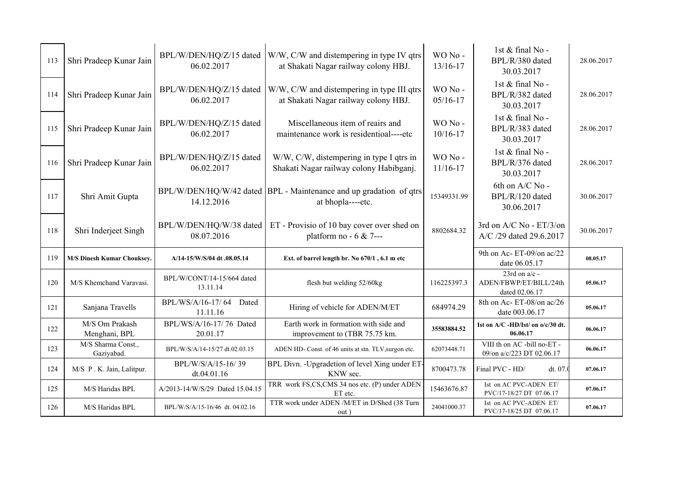| 113 | Shri Pradeep Kunar Jain          | BPL/W/DEN/HQ/Z/15 dated<br>06.02.2017  | W/W, C/W and distempering in type IV qtrs<br>at Shakati Nagar railway colony HBJ.         | WO No-<br>13/16-17     | 1st & final No -<br>BPL/R/380 dated<br>30.03.2017           | 28.06.2017 |
|-----|----------------------------------|----------------------------------------|-------------------------------------------------------------------------------------------|------------------------|-------------------------------------------------------------|------------|
| 114 | Shri Pradeep Kunar Jain          | BPL/W/DEN/HQ/Z/15 dated<br>06.02.2017  | W/W, C/W and distempering in type III qtrs<br>at Shakati Nagar railway colony HBJ.        | WO No-<br>$05/16 - 17$ | 1st & final No -<br>BPL/R/382 dated<br>30.03.2017           | 28.06.2017 |
| 115 | Shri Pradeep Kunar Jain          | BPL/W/DEN/HQ/Z/15 dated<br>06.02.2017  | Miscellaneous item of reairs and<br>maintenance work is residentioal----etc               | WO No-<br>$10/16 - 17$ | 1st & final No -<br>BPL/R/383 dated<br>30.03.2017           | 28.06.2017 |
| 116 | Shri Pradeep Kunar Jain          | BPL/W/DEN/HQ/Z/15 dated<br>06.02.2017  | W/W, C/W, distempering in type I qtrs in<br>Shakati Nagar railway colony Habibganj.       | WO No-<br>$11/16 - 17$ | 1st & final No -<br>BPL/R/376 dated<br>30.03.2017           | 28.06.2017 |
| 117 | Shri Amit Gupta                  | 14.12.2016                             | BPL/W/DEN/HQ/W/42 dated   BPL - Maintenance and up gradation of qtrs<br>at bhopla----etc. | 15349331.99            | 6th on A/C No -<br>BPL/R/120 dated<br>30.06.2017            | 30.06.2017 |
| 118 | Shri Inderjeet Singh             | BPL/W/DEN/HQ/W/38 dated<br>08.07.2016  | ET - Provisio of 10 bay cover over shed on<br>platform no - $6 & 7$ ---                   | 8802684.32             | 3rd on A/C No - ET/3/on<br>A/C /29 dated 29.6.2017          | 30.06.2017 |
| 119 | M/S Dinesh Kumar Chouksey.       | A/14-15/W/S/04 dt .08.05.14            | Ext. of barrel length br. No 670/1, 6.1 m etc                                             |                        | 9th on Ac-ET-09/on ac/22<br>date 06.05.17                   | 08.05.17   |
| 120 | M/S Khemchand Varavasi.          | BPL/W/CONT/14-15/664 dated<br>13.11.14 | flesh but welding 52/60kg                                                                 | 116225397.3            | 23rd on $a/c$ -<br>ADEN/FBWP/ET/BILL/24th<br>dated 02.06.17 | 05.06.17   |
| 121 | Sanjana Travells                 | BPL/WS/A/16-17/64<br>Dated<br>11.11.16 | Hiring of vehicle for ADEN/M/ET                                                           | 684974.29              | 8th on Ac-ET-08/on ac/26<br>date 003.06.17                  | 05.06.17   |
| 122 | M/S Om Prakash<br>Menghani, BPL  | BPL/WS/A/16-17/76 Dated<br>20.01.17    | Earth work in formation with side and<br>improvement to (TBR 75.75 km.                    | 35583884.52            | Ist on $A/C$ -HD/Ist/ on $o/c/30$ dt.<br>06.06.17           | 06.06.17   |
| 123 | M/S Sharma Const.,<br>Gaziyabad. | BPL/W/S/A/14-15/27 dt.02.03.15         | ADEN HD- Const. of 46 units at stn. TLV, surgon etc.                                      | 62073448.71            | VIII th on AC -bill no-ET -<br>09/on a/c/223 DT 02.06.17    | 06.06.17   |
| 124 | M/S P.K. Jain, Lalitpur.         | BPL/W/S/A/15-16/39<br>dt.04.01.16      | BPL Divn. - Upgradetion of level Xing under ET-<br>KNW sec.                               | 8700473.78             | Final PVC - HD/<br>dt. 07.                                  | 07.06.17   |
| 125 | M/S Haridas BPL                  | A/2013-14/W/S/29 Dated 15.04.15        | TRR work FS,CS,CMS 34 nos etc. (P) under ADEN<br>ET etc.                                  | 15463676.87            | Ist on AC PVC-ADEN ET/<br>PVC/17-18/27 DT 07.06.17          | 07.06.17   |
| 126 | M/S Haridas BPL                  | BPL/W/S/A/15-16/46 dt. 04.02.16        | TTR work under ADEN /M/ET in D/Shed (38 Turn<br>out)                                      | 24041000.37            | Ist on AC PVC-ADEN ET/<br>PVC/17-18/25 DT 07.06.17          | 07.06.17   |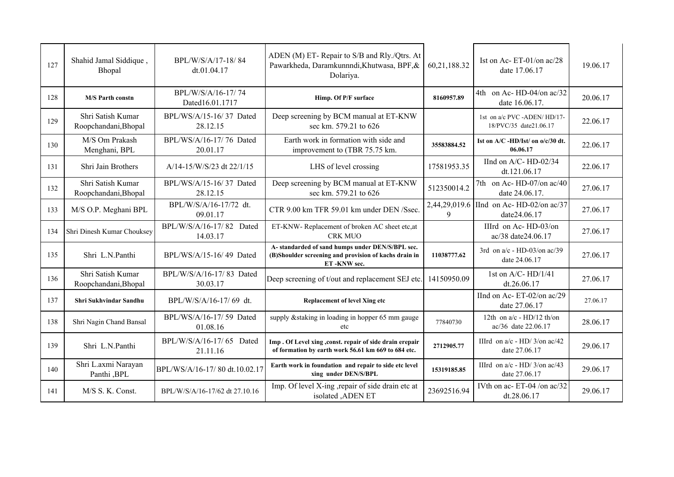| 127 | Shahid Jamal Siddique,<br>Bhopal          | BPL/W/S/A/17-18/84<br>dt.01.04.17     | ADEN (M) ET-Repair to S/B and Rly./Qtrs. At<br>Pawarkheda, Daramkunnndi, Khutwasa, BPF, &<br>Dolariya.                  | 60,21,188.32       | Ist on Ac-ET-01/on ac/28<br>date 17.06.17              | 19.06.17 |
|-----|-------------------------------------------|---------------------------------------|-------------------------------------------------------------------------------------------------------------------------|--------------------|--------------------------------------------------------|----------|
| 128 | <b>M/S Parth constn</b>                   | BPL/W/S/A/16-17/74<br>Dated16.01.1717 | Himp. Of P/F surface                                                                                                    | 8160957.89         | 4th on Ac-HD-04/on ac/32<br>date 16.06.17.             | 20.06.17 |
| 129 | Shri Satish Kumar<br>Roopchandani, Bhopal | BPL/WS/A/15-16/37 Dated<br>28.12.15   | Deep screening by BCM manual at ET-KNW<br>sec km. 579.21 to 626                                                         |                    | 1st on a/c PVC -ADEN/ HD/17-<br>18/PVC/35 date21.06.17 | 22.06.17 |
| 130 | M/S Om Prakash<br>Menghani, BPL           | BPL/WS/A/16-17/76 Dated<br>20.01.17   | Earth work in formation with side and<br>improvement to (TBR 75.75 km.                                                  | 35583884.52        | Ist on $A/C$ -HD/Ist/ on $o/c/30$ dt.<br>06.06.17      | 22.06.17 |
| 131 | Shri Jain Brothers                        | A/14-15/W/S/23 dt 22/1/15             | LHS of level crossing                                                                                                   | 17581953.35        | IInd on A/C-HD-02/34<br>dt.121.06.17                   | 22.06.17 |
| 132 | Shri Satish Kumar<br>Roopchandani, Bhopal | BPL/WS/A/15-16/37 Dated<br>28.12.15   | Deep screening by BCM manual at ET-KNW<br>sec km. 579.21 to 626                                                         | 512350014.2        | 7th on Ac- HD-07/on $ac/40$<br>date 24.06.17.          | 27.06.17 |
| 133 | M/S O.P. Meghani BPL                      | BPL/W/S/A/16-17/72 dt.<br>09.01.17    | CTR 9.00 km TFR 59.01 km under DEN /Ssec.                                                                               | 2,44,29,019.6<br>9 | IInd on Ac- HD-02/on $ac/37$<br>date24.06.17           | 27.06.17 |
| 134 | Shri Dinesh Kumar Chouksey                | BPL/W/S/A/16-17/82 Dated<br>14.03.17  | ET-KNW- Replacement of broken AC sheet etc,at<br><b>CRK MUO</b>                                                         |                    | IIIrd on Ac-HD-03/on<br>ac/38 date24.06.17             | 27.06.17 |
| 135 | Shri L.N.Panthi                           | BPL/WS/A/15-16/49 Dated               | A-standarded of sand humps under DEN/S/BPL sec.<br>(B)Shoulder screening and provision of kachs drain in<br>ET-KNW sec. | 11038777.62        | 3rd on $a/c$ - HD-03/on $ac/39$<br>date 24.06.17       | 27.06.17 |
| 136 | Shri Satish Kumar<br>Roopchandani, Bhopal | BPL/W/S/A/16-17/83 Dated<br>30.03.17  | Deep screening of t/out and replacement SEJ etc.                                                                        | 14150950.09        | 1st on A/C- $HD/1/41$<br>dt.26.06.17                   | 27.06.17 |
| 137 | Shri Sukhvindar Sandhu                    | BPL/W/S/A/16-17/69 dt.                | <b>Replacement of level Xing etc</b>                                                                                    |                    | IInd on Ac-ET-02/on ac/29<br>date 27.06.17             | 27.06.17 |
| 138 | Shri Nagin Chand Bansal                   | BPL/WS/A/16-17/59 Dated<br>01.08.16   | supply & staking in loading in hopper 65 mm gauge<br>etc                                                                | 77840730           | 12th on $a/c$ - HD/12 th/on<br>ac/36 date 22.06.17     | 28.06.17 |
| 139 | Shri L.N.Panthi                           | BPL/W/S/A/16-17/65 Dated<br>21.11.16  | Imp. Of Level xing , const. repair of side drain erepair<br>of formation by earth work 56.61 km 669 to 684 etc.         | 2712905.77         | IIIrd on $a/c$ - HD/ $3$ /on $ac/42$<br>date 27.06.17  | 29.06.17 |
| 140 | Shri L.axmi Narayan<br>Panthi, BPL        | BPL/WS/A/16-17/80 dt.10.02.17         | Earth work in foundation and repair to side etc level<br>xing under DEN/S/BPL                                           | 15319185.85        | IIIrd on $a/c$ - HD/ 3/on $ac/43$<br>date 27.06.17     | 29.06.17 |
| 141 | M/S S. K. Const.                          | BPL/W/S/A/16-17/62 dt 27.10.16        | Imp. Of level X-ing , repair of side drain etc at<br>isolated , ADEN ET                                                 | 23692516.94        | IVth on ac- ET-04 /on ac/32<br>dt.28.06.17             | 29.06.17 |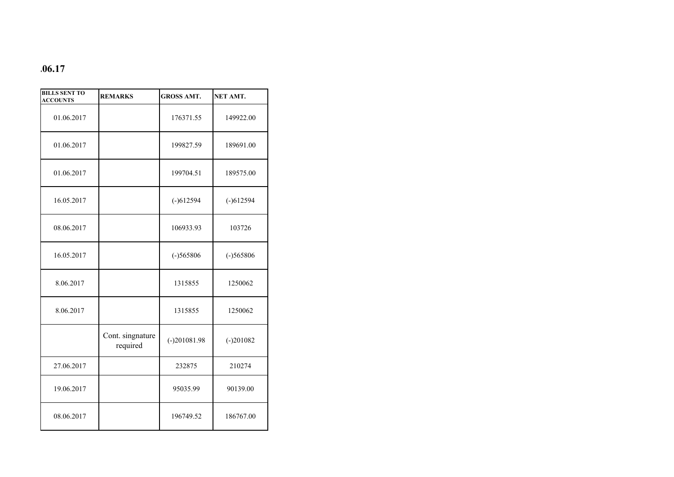## **.06.17**

| <b>BILLS SENT TO</b><br><b>ACCOUNTS</b> | <b>REMARKS</b>               | <b>GROSS AMT.</b> | <b>NET AMT.</b> |
|-----------------------------------------|------------------------------|-------------------|-----------------|
| 01.06.2017                              |                              | 176371.55         | 149922.00       |
| 01.06.2017                              |                              | 199827.59         | 189691.00       |
| 01.06.2017                              |                              | 199704.51         | 189575.00       |
| 16.05.2017                              |                              | $(-)612594$       | $(-)612594$     |
| 08.06.2017                              |                              | 106933.93         | 103726          |
| 16.05.2017                              |                              | $(-)565806$       | $(-)565806$     |
| 8.06.2017                               |                              | 1315855           | 1250062         |
| 8.06.2017                               |                              | 1315855           | 1250062         |
|                                         | Cont. singnature<br>required | $(-)201081.98$    | $(-)201082$     |
| 27.06.2017                              |                              | 232875            | 210274          |
| 19.06.2017                              |                              | 95035.99          | 90139.00        |
| 08.06.2017                              |                              | 196749.52         | 186767.00       |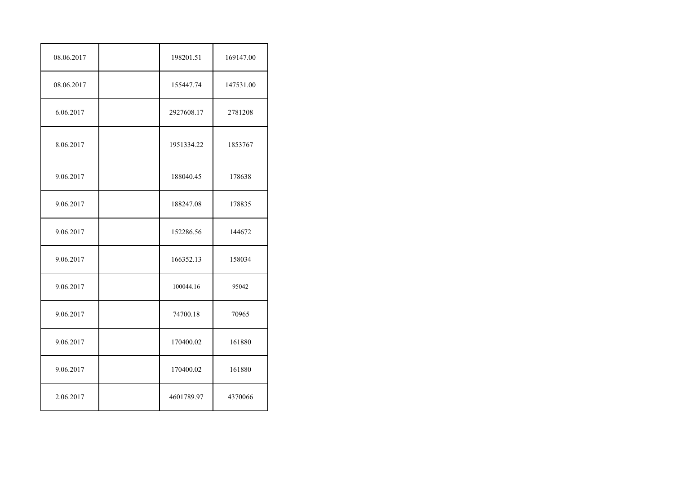| 08.06.2017 | 198201.51  | 169147.00 |
|------------|------------|-----------|
| 08.06.2017 | 155447.74  | 147531.00 |
| 6.06.2017  | 2927608.17 | 2781208   |
| 8.06.2017  | 1951334.22 | 1853767   |
| 9.06.2017  | 188040.45  | 178638    |
| 9.06.2017  | 188247.08  | 178835    |
| 9.06.2017  | 152286.56  | 144672    |
| 9.06.2017  | 166352.13  | 158034    |
| 9.06.2017  | 100044.16  | 95042     |
| 9.06.2017  | 74700.18   | 70965     |
| 9.06.2017  | 170400.02  | 161880    |
| 9.06.2017  | 170400.02  | 161880    |
| 2.06.2017  | 4601789.97 | 4370066   |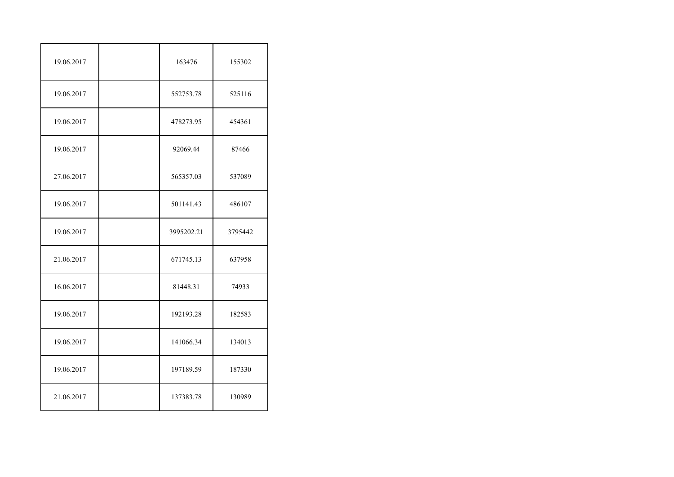| 19.06.2017 | 163476     | 155302  |
|------------|------------|---------|
| 19.06.2017 | 552753.78  | 525116  |
| 19.06.2017 | 478273.95  | 454361  |
| 19.06.2017 | 92069.44   | 87466   |
| 27.06.2017 | 565357.03  | 537089  |
| 19.06.2017 | 501141.43  | 486107  |
| 19.06.2017 | 3995202.21 | 3795442 |
| 21.06.2017 | 671745.13  | 637958  |
| 16.06.2017 | 81448.31   | 74933   |
| 19.06.2017 | 192193.28  | 182583  |
| 19.06.2017 | 141066.34  | 134013  |
| 19.06.2017 | 197189.59  | 187330  |
| 21.06.2017 | 137383.78  | 130989  |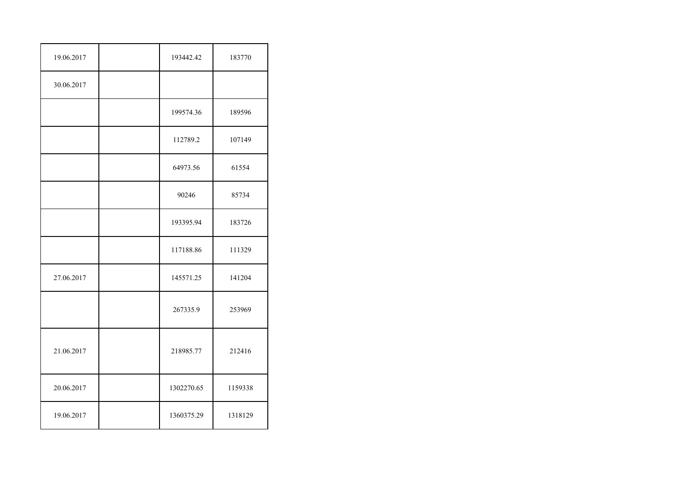| 19.06.2017 | 193442.42  | 183770  |
|------------|------------|---------|
| 30.06.2017 |            |         |
|            | 199574.36  | 189596  |
|            | 112789.2   | 107149  |
|            | 64973.56   | 61554   |
|            | 90246      | 85734   |
|            | 193395.94  | 183726  |
|            | 117188.86  | 111329  |
| 27.06.2017 | 145571.25  | 141204  |
|            | 267335.9   | 253969  |
| 21.06.2017 | 218985.77  | 212416  |
| 20.06.2017 | 1302270.65 | 1159338 |
| 19.06.2017 | 1360375.29 | 1318129 |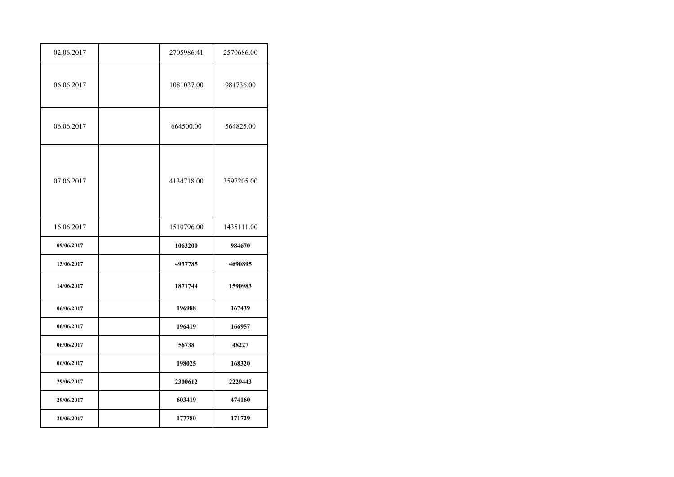| 02.06.2017 | 2705986.41 | 2570686.00 |
|------------|------------|------------|
| 06.06.2017 | 1081037.00 | 981736.00  |
| 06.06.2017 | 664500.00  | 564825.00  |
| 07.06.2017 | 4134718.00 | 3597205.00 |
| 16.06.2017 | 1510796.00 | 1435111.00 |
| 09/06/2017 | 1063200    | 984670     |
|            |            |            |
| 13/06/2017 | 4937785    | 4690895    |
| 14/06/2017 | 1871744    | 1590983    |
| 06/06/2017 | 196988     | 167439     |
| 06/06/2017 | 196419     | 166957     |
| 06/06/2017 | 56738      | 48227      |
| 06/06/2017 | 198025     | 168320     |
| 29/06/2017 | 2300612    | 2229443    |
| 29/06/2017 | 603419     | 474160     |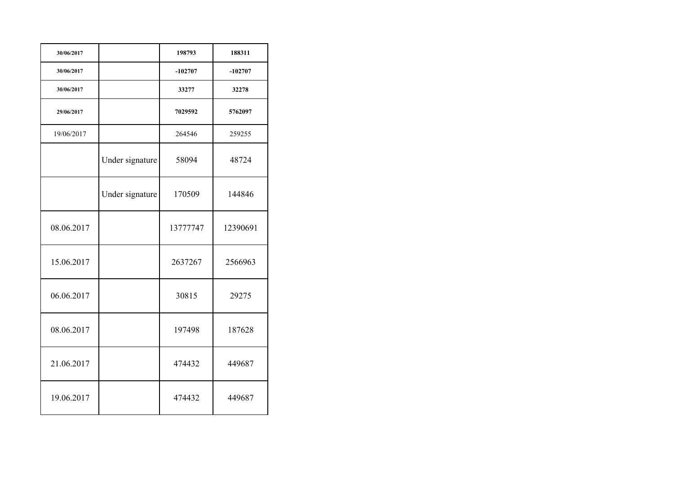| 30/06/2017 |                 | 198793    | 188311    |
|------------|-----------------|-----------|-----------|
| 30/06/2017 |                 | $-102707$ | $-102707$ |
| 30/06/2017 |                 | 33277     | 32278     |
| 29/06/2017 |                 | 7029592   | 5762097   |
| 19/06/2017 |                 | 264546    | 259255    |
|            | Under signature | 58094     | 48724     |
|            | Under signature | 170509    | 144846    |
| 08.06.2017 |                 | 13777747  | 12390691  |
| 15.06.2017 |                 | 2637267   | 2566963   |
| 06.06.2017 |                 | 30815     | 29275     |
| 08.06.2017 |                 | 197498    | 187628    |
| 21.06.2017 |                 | 474432    | 449687    |
| 19.06.2017 |                 | 474432    | 449687    |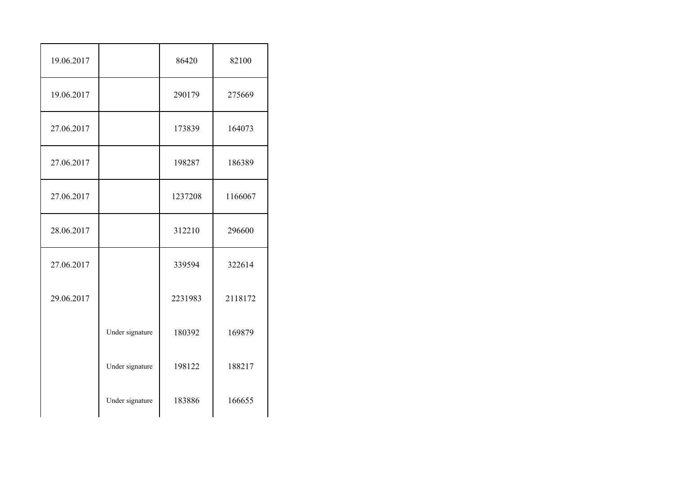| 19.06.2017 |                 | 86420   | 82100   |
|------------|-----------------|---------|---------|
| 19.06.2017 |                 | 290179  | 275669  |
| 27.06.2017 |                 | 173839  | 164073  |
| 27.06.2017 |                 | 198287  | 186389  |
| 27.06.2017 |                 | 1237208 | 1166067 |
| 28.06.2017 |                 | 312210  | 296600  |
| 27.06.2017 |                 | 339594  | 322614  |
| 29.06.2017 |                 | 2231983 | 2118172 |
|            | Under signature | 180392  | 169879  |
|            | Under signature | 198122  | 188217  |
|            | Under signature | 183886  | 166655  |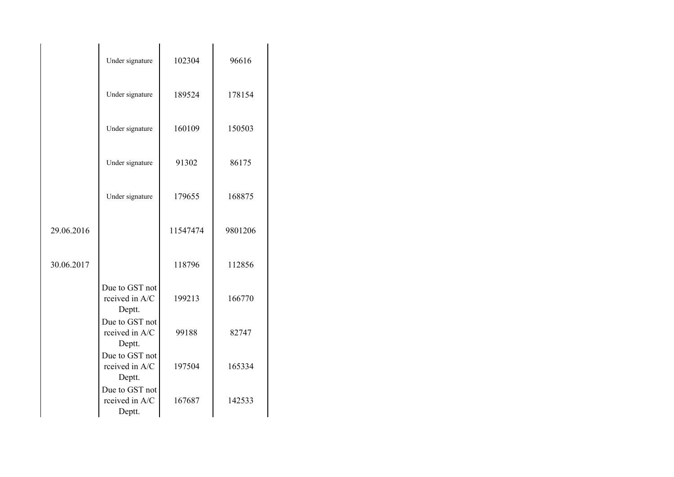|            | Under signature                            | 102304   | 96616   |
|------------|--------------------------------------------|----------|---------|
|            | Under signature                            | 189524   | 178154  |
|            | Under signature                            | 160109   | 150503  |
|            | Under signature                            | 91302    | 86175   |
|            | Under signature                            | 179655   | 168875  |
| 29.06.2016 |                                            | 11547474 | 9801206 |
| 30.06.2017 |                                            | 118796   | 112856  |
|            | Due to GST not<br>rceived in A/C<br>Deptt. | 199213   | 166770  |
|            | Due to GST not<br>rceived in A/C<br>Deptt. | 99188    | 82747   |
|            | Due to GST not<br>rceived in A/C<br>Deptt. | 197504   | 165334  |
|            | Due to GST not<br>rceived in A/C<br>Deptt. | 167687   | 142533  |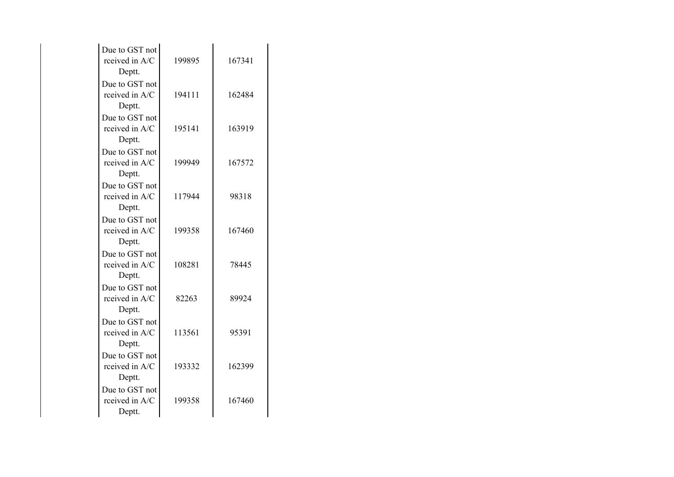| Due to GST not<br>rceived in A/C<br>Deptt. | 199895 | 167341 |
|--------------------------------------------|--------|--------|
| Due to GST not<br>rceived in A/C<br>Deptt. | 194111 | 162484 |
| Due to GST not<br>rceived in A/C<br>Deptt. | 195141 | 163919 |
| Due to GST not<br>rceived in A/C<br>Deptt. | 199949 | 167572 |
| Due to GST not<br>rceived in A/C<br>Deptt. | 117944 | 98318  |
| Due to GST not<br>rceived in A/C<br>Deptt. | 199358 | 167460 |
| Due to GST not<br>rceived in A/C<br>Deptt. | 108281 | 78445  |
| Due to GST not<br>rceived in A/C<br>Deptt. | 82263  | 89924  |
| Due to GST not<br>rceived in A/C<br>Deptt. | 113561 | 95391  |
| Due to GST not<br>rceived in A/C<br>Deptt. | 193332 | 162399 |
| Due to GST not<br>rceived in A/C<br>Deptt. | 199358 | 167460 |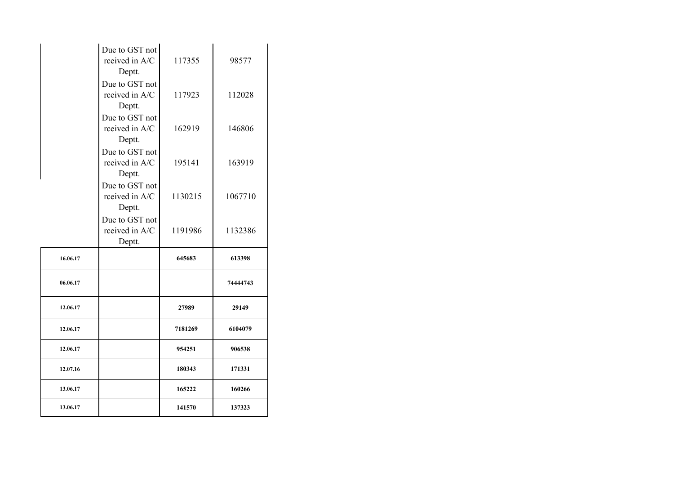|          | Due to GST not<br>rceived in A/C<br>Deptt. | 117355  | 98577    |
|----------|--------------------------------------------|---------|----------|
|          | Due to GST not<br>rceived in A/C<br>Deptt. | 117923  | 112028   |
|          | Due to GST not<br>rceived in A/C<br>Deptt. | 162919  | 146806   |
|          | Due to GST not<br>rceived in A/C<br>Deptt. | 195141  | 163919   |
|          | Due to GST not<br>rceived in A/C<br>Deptt. | 1130215 | 1067710  |
|          | Due to GST not<br>rceived in A/C<br>Deptt. | 1191986 | 1132386  |
| 16.06.17 |                                            | 645683  | 613398   |
| 06.06.17 |                                            |         | 74444743 |
| 12.06.17 |                                            | 27989   | 29149    |
| 12.06.17 |                                            | 7181269 | 6104079  |
| 12.06.17 |                                            | 954251  | 906538   |
| 12.07.16 |                                            | 180343  | 171331   |
| 13.06.17 |                                            | 165222  | 160266   |
| 13.06.17 |                                            | 141570  | 137323   |